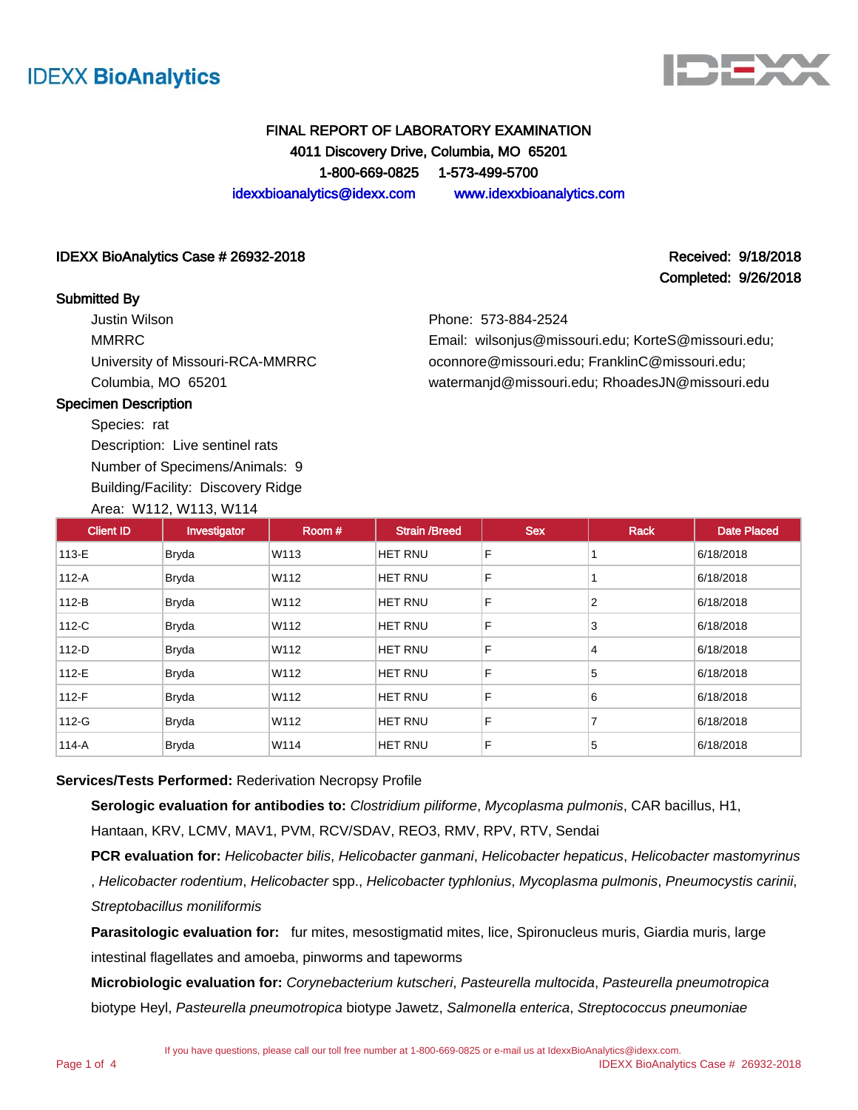



# FINAL REPORT OF LABORATORY EXAMINATION 4011 Discovery Drive, Columbia, MO 65201 1-800-669-0825 1-573-499-5700 idexxbioanalytics@idexx.com www.idexxbioanalytics.com

### IDEXX BioAnalytics Case # 26932-2018 Received: 9/18/2018

### Submitted By

Justin Wilson MMRRC University of Missouri-RCA-MMRRC Columbia, MO 65201

Completed: 9/26/2018

Phone: 573-884-2524

Email: wilsonjus@missouri.edu; KorteS@missouri.edu; oconnore@missouri.edu; FranklinC@missouri.edu; watermanjd@missouri.edu; RhoadesJN@missouri.edu

## Specimen Description

Species: rat Description: Live sentinel rats Number of Specimens/Animals: 9 Building/Facility: Discovery Ridge

Area: W112, W113, W114

| <b>Client ID</b> | Investigator | Room# | <b>Strain /Breed</b> | <b>Sex</b> | Rack | <b>Date Placed</b> |
|------------------|--------------|-------|----------------------|------------|------|--------------------|
| 113-E            | <b>Bryda</b> | W113  | <b>HET RNU</b>       | F          |      | 6/18/2018          |
| $112-A$          | <b>Bryda</b> | W112  | <b>HET RNU</b>       | F          |      | 6/18/2018          |
| $112-B$          | <b>Bryda</b> | W112  | <b>HET RNU</b>       | F          | 2    | 6/18/2018          |
| 112-C            | <b>Bryda</b> | W112  | <b>HET RNU</b>       | F          | 3    | 6/18/2018          |
| 112-D            | <b>Bryda</b> | W112  | <b>HET RNU</b>       | F          | 4    | 6/18/2018          |
| 112-E            | <b>Bryda</b> | W112  | <b>HET RNU</b>       | F          | 5    | 6/18/2018          |
| $112-F$          | <b>Bryda</b> | W112  | <b>HET RNU</b>       | F          | 6    | 6/18/2018          |
| 112-G            | <b>Bryda</b> | W112  | <b>HET RNU</b>       | F          | 7    | 6/18/2018          |
| $114-A$          | <b>Bryda</b> | W114  | <b>HET RNU</b>       | F          | 5    | 6/18/2018          |

### **Services/Tests Performed:** Rederivation Necropsy Profile

**Serologic evaluation for antibodies to:** Clostridium piliforme, Mycoplasma pulmonis, CAR bacillus, H1,

Hantaan, KRV, LCMV, MAV1, PVM, RCV/SDAV, REO3, RMV, RPV, RTV, Sendai

PCR evaluation for: Helicobacter bilis, Helicobacter ganmani, Helicobacter hepaticus, Helicobacter mastomyrinus , Helicobacter rodentium, Helicobacter spp., Helicobacter typhlonius, Mycoplasma pulmonis, Pneumocystis carinii, Streptobacillus moniliformis

**Parasitologic evaluation for:** fur mites, mesostigmatid mites, lice, Spironucleus muris, Giardia muris, large intestinal flagellates and amoeba, pinworms and tapeworms

**Microbiologic evaluation for:** Corynebacterium kutscheri, Pasteurella multocida, Pasteurella pneumotropica biotype Heyl, Pasteurella pneumotropica biotype Jawetz, Salmonella enterica, Streptococcus pneumoniae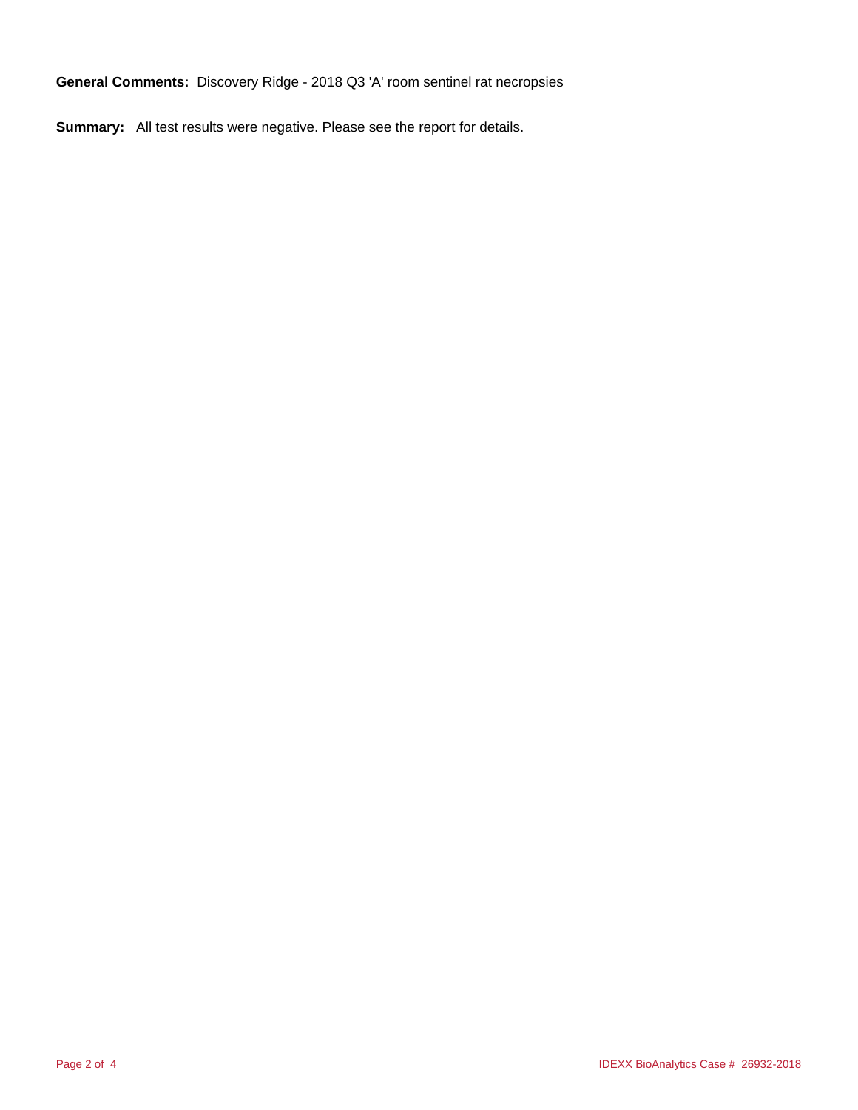**General Comments:** Discovery Ridge - 2018 Q3 'A' room sentinel rat necropsies

**Summary:** All test results were negative. Please see the report for details.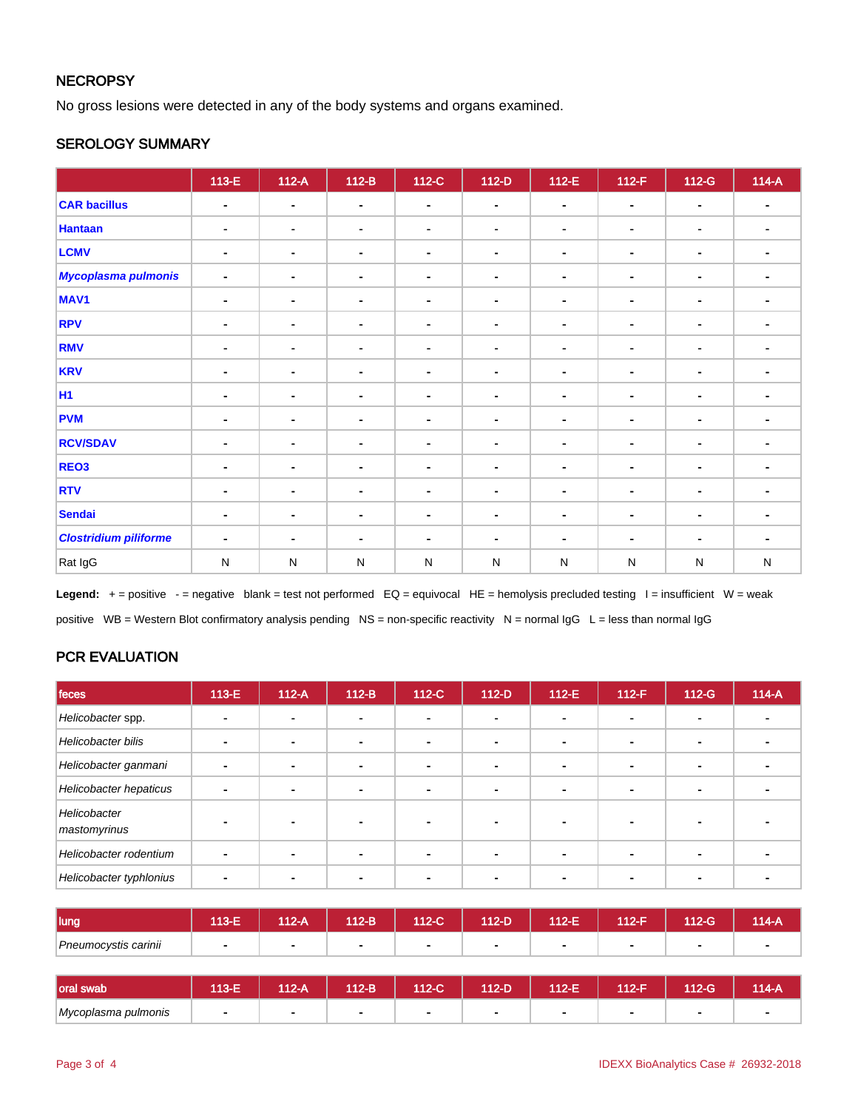## **NECROPSY**

No gross lesions were detected in any of the body systems and organs examined.

## SEROLOGY SUMMARY

|                              | $113-E$        | $112-A$        | $112-B$        | 112-C          | $112-D$        | $112-E$        | $112-F$        | 112-G          | $114-A$        |
|------------------------------|----------------|----------------|----------------|----------------|----------------|----------------|----------------|----------------|----------------|
| <b>CAR bacillus</b>          | $\blacksquare$ | $\blacksquare$ | $\blacksquare$ | $\blacksquare$ | $\blacksquare$ | $\blacksquare$ | $\blacksquare$ | $\blacksquare$ | $\blacksquare$ |
| <b>Hantaan</b>               | $\blacksquare$ | $\blacksquare$ | $\blacksquare$ | $\blacksquare$ | $\blacksquare$ | $\blacksquare$ | $\blacksquare$ | $\blacksquare$ | $\blacksquare$ |
| <b>LCMV</b>                  | $\blacksquare$ | $\blacksquare$ | $\blacksquare$ | $\blacksquare$ | $\blacksquare$ | $\blacksquare$ | $\blacksquare$ | $\blacksquare$ | $\blacksquare$ |
| <b>Mycoplasma pulmonis</b>   | $\blacksquare$ | $\blacksquare$ | $\blacksquare$ | $\blacksquare$ | $\blacksquare$ | ÷.             | $\blacksquare$ | $\blacksquare$ |                |
| MAV <sub>1</sub>             | $\blacksquare$ | $\blacksquare$ | $\blacksquare$ | $\blacksquare$ | $\blacksquare$ | ۰              | $\blacksquare$ | $\blacksquare$ | ۰.             |
| <b>RPV</b>                   | $\blacksquare$ | $\sim$         | $\blacksquare$ | $\blacksquare$ | $\blacksquare$ | $\blacksquare$ | $\blacksquare$ | $\blacksquare$ | $\blacksquare$ |
| <b>RMV</b>                   | $\blacksquare$ | $\blacksquare$ | $\blacksquare$ | $\blacksquare$ |                | $\blacksquare$ | $\blacksquare$ | $\blacksquare$ | ۰.             |
| <b>KRV</b>                   | $\blacksquare$ | ٠              | $\blacksquare$ | $\blacksquare$ | $\blacksquare$ | ۰              | $\blacksquare$ | ۰              | ۰              |
| <b>H1</b>                    | $\blacksquare$ | $\blacksquare$ | $\blacksquare$ | $\blacksquare$ | $\blacksquare$ | $\blacksquare$ | $\blacksquare$ | $\blacksquare$ |                |
| <b>PVM</b>                   | $\blacksquare$ | $\sim$         | $\blacksquare$ | $\blacksquare$ | $\blacksquare$ | $\blacksquare$ | $\blacksquare$ | $\blacksquare$ | $\blacksquare$ |
| <b>RCV/SDAV</b>              | $\blacksquare$ | $\sim$         | $\blacksquare$ | $\blacksquare$ | $\blacksquare$ | ٠              | $\blacksquare$ | $\blacksquare$ | ۰              |
| REO3                         | $\blacksquare$ | $\blacksquare$ | $\blacksquare$ | $\blacksquare$ | $\blacksquare$ | ۰              | $\blacksquare$ | ٠              |                |
| <b>RTV</b>                   | $\blacksquare$ | $\sim$         | $\blacksquare$ | $\blacksquare$ | $\blacksquare$ | $\blacksquare$ | $\blacksquare$ | $\blacksquare$ | $\sim$         |
| <b>Sendai</b>                | $\blacksquare$ | ۰              | $\blacksquare$ | $\blacksquare$ | $\blacksquare$ | ٠              | $\blacksquare$ | $\blacksquare$ | ۰              |
| <b>Clostridium piliforme</b> | $\blacksquare$ | $\blacksquare$ | $\blacksquare$ | $\blacksquare$ | $\blacksquare$ | ۰.             | ٠              | $\blacksquare$ | $\blacksquare$ |
| Rat IgG                      | ${\sf N}$      | ${\sf N}$      | N              | ${\sf N}$      | N              | N              | N              | ${\sf N}$      | ${\sf N}$      |

Legend: + = positive - = negative blank = test not performed EQ = equivocal HE = hemolysis precluded testing I = insufficient W = weak positive WB = Western Blot confirmatory analysis pending NS = non-specific reactivity N = normal IgG L = less than normal IgG

# PCR EVALUATION

| feces                        | 113-E | $112-A$ | $112-B$        | 112-C                    | $112-D$ | $112-E$ | $112-F$ | $112-G$        | $114-A$ |
|------------------------------|-------|---------|----------------|--------------------------|---------|---------|---------|----------------|---------|
| Helicobacter spp.            |       |         | $\blacksquare$ | $\overline{\phantom{0}}$ |         |         |         | $\blacksquare$ |         |
| Helicobacter bilis           |       |         | ٠              |                          |         |         |         | -              |         |
| Helicobacter ganmani         | -     |         | ۰              | $\overline{\phantom{0}}$ |         |         |         |                |         |
| Helicobacter hepaticus       |       |         | ÷              | $\overline{\phantom{0}}$ |         |         |         | -              |         |
| Helicobacter<br>mastomyrinus |       |         |                |                          |         |         |         |                |         |
| Helicobacter rodentium       |       |         |                |                          |         |         |         |                |         |
| Helicobacter typhlonius      |       |         |                |                          |         |         |         |                |         |

| lung                 | 13.E<br>n an I | 12-A | 112-B          | 112-C | 112-D | 112-E | 112-F | 112-G | 114-A |
|----------------------|----------------|------|----------------|-------|-------|-------|-------|-------|-------|
| Pneumocystis carinii |                |      | $\blacksquare$ | -     |       |       |       | -     |       |

| Ioral swab          | 13-F | 112-A | 112-B | 112-C | 112-D | 112-E | $A$ 12- $F$ | 112-G | 114-A |
|---------------------|------|-------|-------|-------|-------|-------|-------------|-------|-------|
| Mycoplasma pulmonis |      |       |       |       |       |       |             |       |       |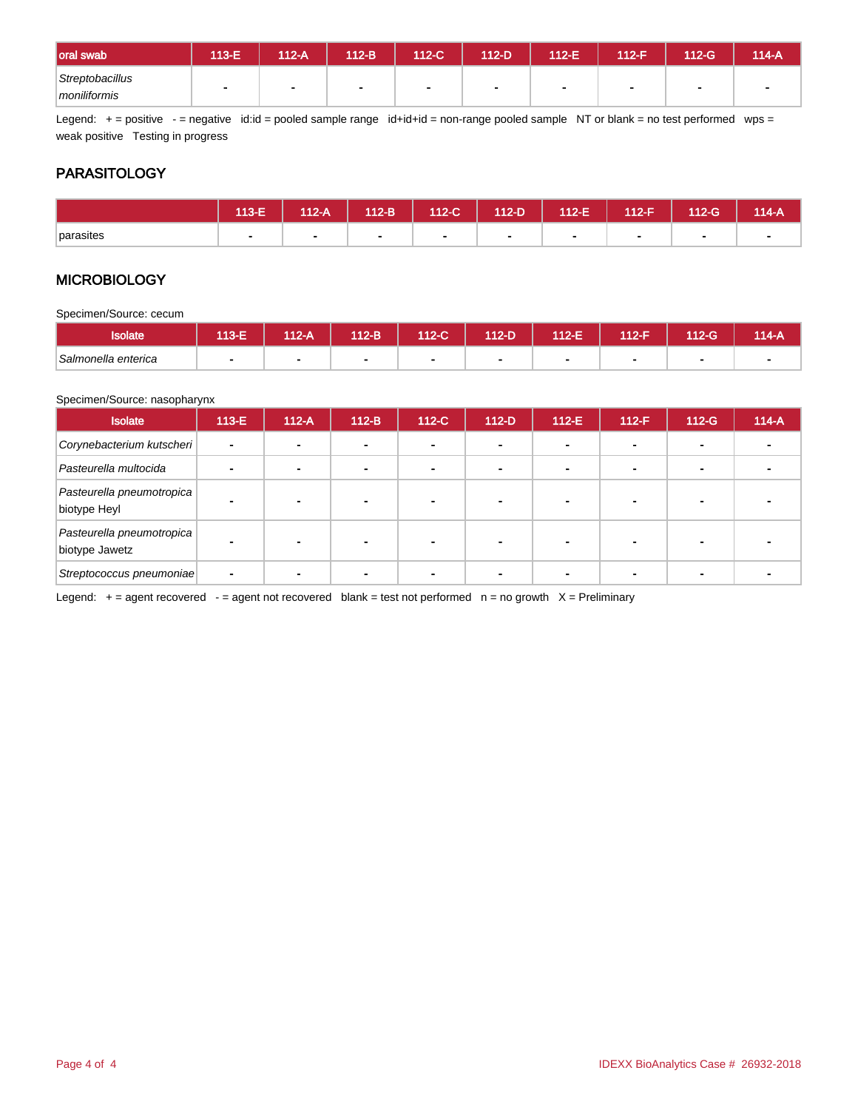| oral swab                       | 113-E | 112-A | 112-B | 112-C | 112-D | 112-E | $412-F$ | 112-G          | 114-A |
|---------------------------------|-------|-------|-------|-------|-------|-------|---------|----------------|-------|
| Streptobacillus<br>moniliformis |       |       |       | л.    |       |       |         | $\blacksquare$ |       |

Legend: + = positive - = negative id:id = pooled sample range id+id+id = non-range pooled sample NT or blank = no test performed wps = weak positive Testing in progress

# **PARASITOLOGY**

|           | 113-E | $112-A$ | $112-B$ | $112-C$ | 112-D | $112-E$ | <b>112-F</b> | $112-G$ | 114-A |
|-----------|-------|---------|---------|---------|-------|---------|--------------|---------|-------|
| parasites |       |         |         |         |       |         |              |         |       |

# **MICROBIOLOGY**

Specimen/Source: cecum

| <b>Isolate</b>      | 113-E | $112-A$ | 112-B | 112-C | $112-D$ | 112-E | 112-F | 112-G | 114-A |
|---------------------|-------|---------|-------|-------|---------|-------|-------|-------|-------|
| Salmonella enterica |       | ٠       |       |       |         |       |       |       |       |

#### Specimen/Source: nasopharynx

| <b>Isolate</b>                              | $113-E$        | $112-A$ | $112-B$ | $112-C$ | $112-D$        | $112-E$        | $112-F$ | $112-G$ | $114-A$ |
|---------------------------------------------|----------------|---------|---------|---------|----------------|----------------|---------|---------|---------|
| Corynebacterium kutscheri                   | $\blacksquare$ |         |         |         | $\blacksquare$ | $\blacksquare$ |         |         |         |
| Pasteurella multocida                       |                |         |         |         |                | $\blacksquare$ |         |         |         |
| Pasteurella pneumotropica<br>biotype Heyl   |                | ۰       |         |         |                |                |         |         |         |
| Pasteurella pneumotropica<br>biotype Jawetz |                |         |         |         |                |                |         |         |         |
| Streptococcus pneumoniae                    |                |         |         |         |                |                |         |         |         |

Legend:  $+=$  agent recovered - = agent not recovered blank = test not performed  $n =$  no growth  $X =$  Preliminary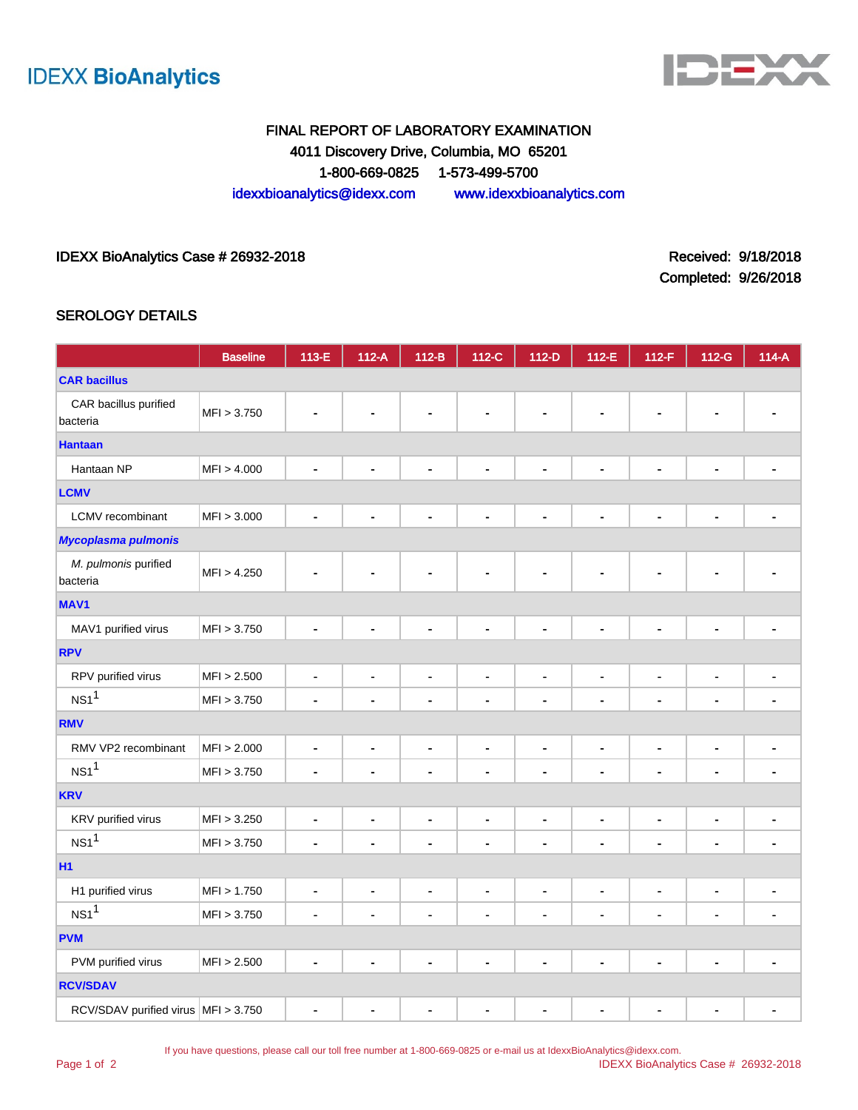



# FINAL REPORT OF LABORATORY EXAMINATION 4011 Discovery Drive, Columbia, MO 65201 1-800-669-0825 1-573-499-5700 idexxbioanalytics@idexx.com www.idexxbioanalytics.com

## IDEXX BioAnalytics Case # 26932-2018 Received: 9/18/2018

Completed: 9/26/2018

## SEROLOGY DETAILS

|                                       | <b>Baseline</b> | 113-E                        | $112-A$                      | $112-B$                      | 112-C          | $112-D$                      | 112-E          | 112-F                        | 112-G                        | $114-A$        |
|---------------------------------------|-----------------|------------------------------|------------------------------|------------------------------|----------------|------------------------------|----------------|------------------------------|------------------------------|----------------|
| <b>CAR bacillus</b>                   |                 |                              |                              |                              |                |                              |                |                              |                              |                |
| CAR bacillus purified<br>bacteria     | MFI > 3.750     |                              |                              |                              |                |                              |                |                              |                              |                |
| <b>Hantaan</b>                        |                 |                              |                              |                              |                |                              |                |                              |                              |                |
| Hantaan NP                            | MFI > 4.000     |                              |                              | ä,                           | $\blacksquare$ | $\blacksquare$               | $\blacksquare$ | $\blacksquare$               | $\blacksquare$               |                |
| <b>LCMV</b>                           |                 |                              |                              |                              |                |                              |                |                              |                              |                |
| LCMV recombinant                      | MFI > 3.000     | $\blacksquare$               | $\blacksquare$               | $\qquad \qquad \blacksquare$ | $\blacksquare$ | $\qquad \qquad \blacksquare$ | $\blacksquare$ | ä,                           | $\blacksquare$               | $\blacksquare$ |
| <b>Mycoplasma pulmonis</b>            |                 |                              |                              |                              |                |                              |                |                              |                              |                |
| M. pulmonis purified<br>bacteria      | MFI > 4.250     |                              |                              |                              |                |                              | $\blacksquare$ | $\blacksquare$               | $\blacksquare$               |                |
| <b>MAV1</b>                           |                 |                              |                              |                              |                |                              |                |                              |                              |                |
| MAV1 purified virus                   | MFI > 3.750     | $\blacksquare$               |                              | ۰                            | $\blacksquare$ | $\qquad \qquad \blacksquare$ | ۰              | $\blacksquare$               | -                            |                |
| <b>RPV</b>                            |                 |                              |                              |                              |                |                              |                |                              |                              |                |
| RPV purified virus                    | MFI > 2.500     | $\qquad \qquad \blacksquare$ | ٠                            | ۰                            | $\blacksquare$ | $\qquad \qquad \blacksquare$ | $\blacksquare$ | $\blacksquare$               | $\blacksquare$               |                |
| NS1 <sup>1</sup>                      | MFI > 3.750     | ä,                           |                              | $\blacksquare$               | $\blacksquare$ | $\qquad \qquad \blacksquare$ | ä,             | $\blacksquare$               | $\blacksquare$               |                |
| <b>RMV</b>                            |                 |                              |                              |                              |                |                              |                |                              |                              |                |
| RMV VP2 recombinant                   | MFI > 2.000     | $\blacksquare$               | $\blacksquare$               | $\blacksquare$               | $\blacksquare$ | $\blacksquare$               | $\blacksquare$ | $\qquad \qquad \blacksquare$ | $\blacksquare$               | ÷,             |
| NS1 <sup>1</sup>                      | MFI > 3.750     | $\overline{\phantom{a}}$     | ۰                            | $\blacksquare$               | $\blacksquare$ |                              | $\blacksquare$ | $\blacksquare$               | $\overline{\phantom{a}}$     | ۰              |
| <b>KRV</b>                            |                 |                              |                              |                              |                |                              |                |                              |                              |                |
| KRV purified virus                    | MFI > 3.250     | $\blacksquare$               | $\blacksquare$               | $\qquad \qquad \blacksquare$ | $\blacksquare$ | $\blacksquare$               | $\blacksquare$ | $\blacksquare$               | $\blacksquare$               | ٠              |
| NS1 <sup>1</sup>                      | MFI > 3.750     | ä,                           |                              | $\blacksquare$               | $\overline{a}$ | $\blacksquare$               | ä,             | $\blacksquare$               | $\blacksquare$               |                |
| <b>H1</b>                             |                 |                              |                              |                              |                |                              |                |                              |                              |                |
| H1 purified virus                     | MFI > 1.750     | $\blacksquare$               | $\qquad \qquad \blacksquare$ | $\blacksquare$               | $\blacksquare$ | $\blacksquare$               | $\blacksquare$ | $\blacksquare$               | $\blacksquare$               | ٠              |
| NS1 <sup>1</sup>                      | MFI > 3.750     | $\blacksquare$               | ٠                            | $\blacksquare$               | $\blacksquare$ | $\blacksquare$               | $\blacksquare$ | $\overline{a}$               | $\overline{\phantom{a}}$     |                |
| <b>PVM</b>                            |                 |                              |                              |                              |                |                              |                |                              |                              |                |
| PVM purified virus                    | MFI > 2.500     | ä,                           | $\blacksquare$               | ä,                           | $\blacksquare$ | $\blacksquare$               | $\blacksquare$ | $\blacksquare$               | ÷,                           |                |
| <b>RCV/SDAV</b>                       |                 |                              |                              |                              |                |                              |                |                              |                              |                |
| RCV/SDAV purified virus   MFI > 3.750 |                 | $\blacksquare$               | $\blacksquare$               | $\qquad \qquad \blacksquare$ | $\blacksquare$ | $\blacksquare$               | $\blacksquare$ | $\blacksquare$               | $\qquad \qquad \blacksquare$ | $\blacksquare$ |

If you have questions, please call our toll free number at 1-800-669-0825 or e-mail us at IdexxBioAnalytics@idexx.com.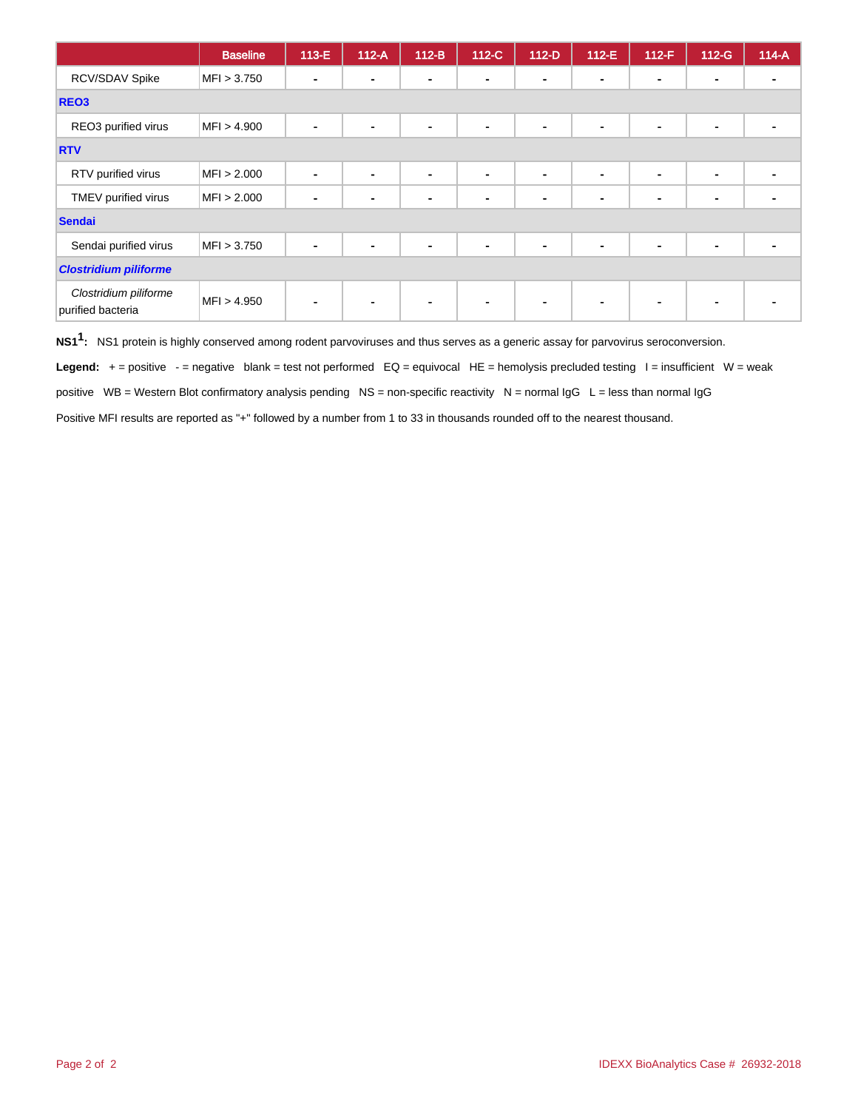|                                            | <b>Baseline</b> | $113-E$        | $112-A$ | $112-B$        | 112-C          | $112-D$        | $112-E$        | $112-F$        | $112-G$        | $114-A$ |
|--------------------------------------------|-----------------|----------------|---------|----------------|----------------|----------------|----------------|----------------|----------------|---------|
| RCV/SDAV Spike                             | MFI > 3.750     |                |         | $\blacksquare$ | $\blacksquare$ | $\blacksquare$ | $\blacksquare$ | $\blacksquare$ | $\blacksquare$ |         |
| REO <sub>3</sub>                           |                 |                |         |                |                |                |                |                |                |         |
| REO3 purified virus                        | MFI > 4.900     | $\blacksquare$ | ۰       | ۰              | $\blacksquare$ | $\blacksquare$ | $\sim$         | $\blacksquare$ | $\blacksquare$ |         |
| <b>RTV</b>                                 |                 |                |         |                |                |                |                |                |                |         |
| RTV purified virus                         | MFI > 2.000     |                |         | ۰              | ۰              | ۰              | $\blacksquare$ | $\blacksquare$ | $\blacksquare$ |         |
| TMEV purified virus                        | MFI > 2.000     |                |         | $\blacksquare$ | $\blacksquare$ | $\blacksquare$ | $\blacksquare$ | $\blacksquare$ | $\blacksquare$ |         |
| <b>Sendai</b>                              |                 |                |         |                |                |                |                |                |                |         |
| Sendai purified virus                      | MFI > 3.750     |                |         | ۰              | ۰              | $\blacksquare$ | $\blacksquare$ | $\blacksquare$ | $\blacksquare$ |         |
| <b>Clostridium piliforme</b>               |                 |                |         |                |                |                |                |                |                |         |
| Clostridium piliforme<br>purified bacteria | MFI > 4.950     |                |         | $\blacksquare$ | $\blacksquare$ | $\blacksquare$ | $\blacksquare$ | $\blacksquare$ | $\blacksquare$ |         |

**NS11 :** NS1 protein is highly conserved among rodent parvoviruses and thus serves as a generic assay for parvovirus seroconversion.

Legend: + = positive - = negative blank = test not performed EQ = equivocal HE = hemolysis precluded testing I = insufficient W = weak positive WB = Western Blot confirmatory analysis pending NS = non-specific reactivity N = normal IgG L = less than normal IgG

Positive MFI results are reported as "+" followed by a number from 1 to 33 in thousands rounded off to the nearest thousand.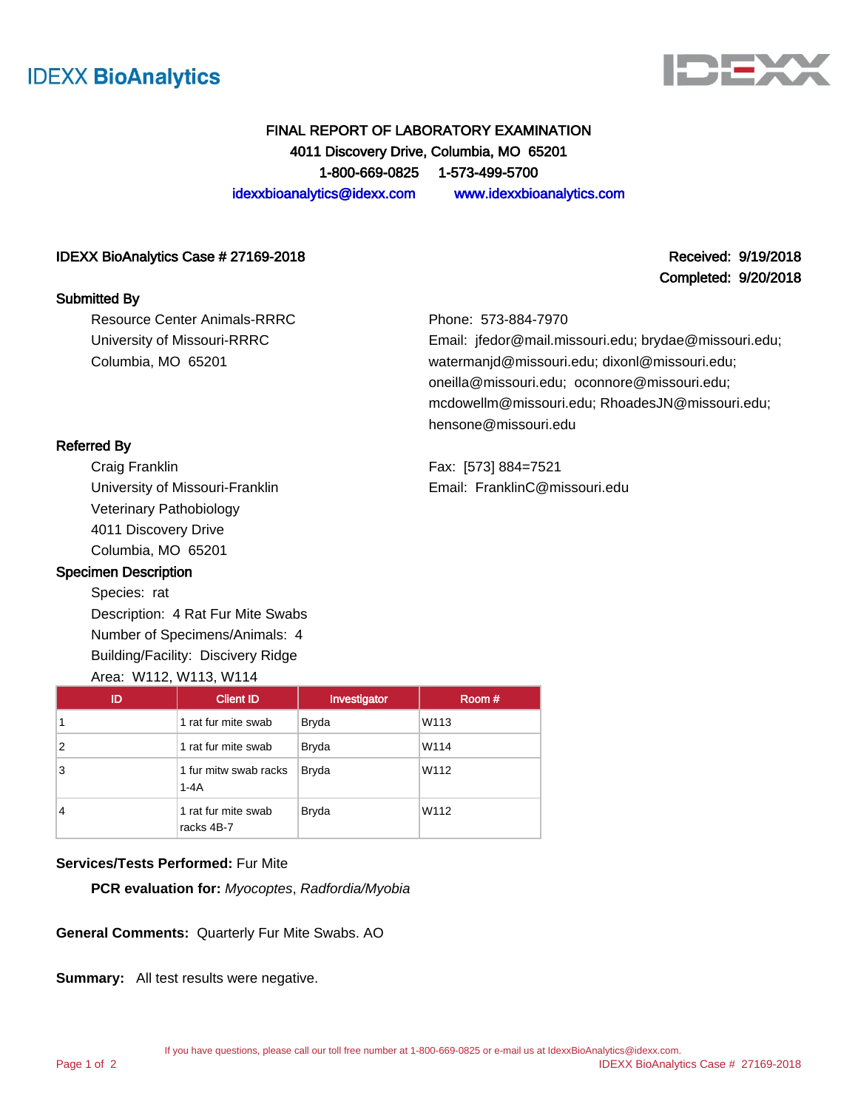



Completed: 9/20/2018

# FINAL REPORT OF LABORATORY EXAMINATION 4011 Discovery Drive, Columbia, MO 65201 1-800-669-0825 1-573-499-5700 idexxbioanalytics@idexx.com www.idexxbioanalytics.com

### IDEXX BioAnalytics Case # 27169-2018 Received: 9/19/2018

### Submitted By

Resource Center Animals-RRRC University of Missouri-RRRC Columbia, MO 65201

Phone: 573-884-7970

Email: jfedor@mail.missouri.edu; brydae@missouri.edu; watermanjd@missouri.edu; dixonl@missouri.edu; oneilla@missouri.edu; oconnore@missouri.edu; mcdowellm@missouri.edu; RhoadesJN@missouri.edu; hensone@missouri.edu

Fax: [573] 884=7521 Email: FranklinC@missouri.edu

## Referred By

Craig Franklin University of Missouri-Franklin Veterinary Pathobiology 4011 Discovery Drive Columbia, MO 65201

## Specimen Description

Species: rat Description: 4 Rat Fur Mite Swabs Number of Specimens/Animals: 4 Building/Facility: Discivery Ridge

| ID | <b>Client ID</b>                  | Investigator | Room # |
|----|-----------------------------------|--------------|--------|
| 1  | 1 rat fur mite swab               | <b>Bryda</b> | W113   |
| 2  | 1 rat fur mite swab               | <b>Bryda</b> | W114   |
| 3  | 1 fur mitw swab racks<br>$1 - 4A$ | <b>Bryda</b> | W112   |
| 4  | 1 rat fur mite swab<br>racks 4B-7 | <b>Bryda</b> | W112   |

## **Services/Tests Performed:** Fur Mite

**PCR evaluation for:** Myocoptes, Radfordia/Myobia

**General Comments:** Quarterly Fur Mite Swabs. AO

**Summary:** All test results were negative.

Page 1 of 2